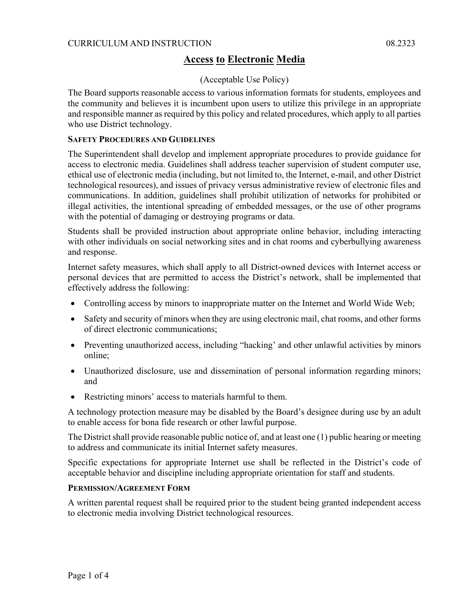# **Access to Electronic Media**

## (Acceptable Use Policy)

The Board supports reasonable access to various information formats for students, employees and the community and believes it is incumbent upon users to utilize this privilege in an appropriate and responsible manner as required by this policy and related procedures, which apply to all parties who use District technology.

## **SAFETY PROCEDURES AND GUIDELINES**

The Superintendent shall develop and implement appropriate procedures to provide guidance for access to electronic media. Guidelines shall address teacher supervision of student computer use, ethical use of electronic media (including, but not limited to, the Internet, e-mail, and other District technological resources), and issues of privacy versus administrative review of electronic files and communications. In addition, guidelines shall prohibit utilization of networks for prohibited or illegal activities, the intentional spreading of embedded messages, or the use of other programs with the potential of damaging or destroying programs or data.

Students shall be provided instruction about appropriate online behavior, including interacting with other individuals on social networking sites and in chat rooms and cyberbullying awareness and response.

Internet safety measures, which shall apply to all District-owned devices with Internet access or personal devices that are permitted to access the District's network, shall be implemented that effectively address the following:

- Controlling access by minors to inappropriate matter on the Internet and World Wide Web;
- Safety and security of minors when they are using electronic mail, chat rooms, and other forms of direct electronic communications;
- Preventing unauthorized access, including "hacking' and other unlawful activities by minors online;
- Unauthorized disclosure, use and dissemination of personal information regarding minors; and
- Restricting minors' access to materials harmful to them.

A technology protection measure may be disabled by the Board's designee during use by an adult to enable access for bona fide research or other lawful purpose.

The District shall provide reasonable public notice of, and at least one (1) public hearing or meeting to address and communicate its initial Internet safety measures.

Specific expectations for appropriate Internet use shall be reflected in the District's code of acceptable behavior and discipline including appropriate orientation for staff and students.

## **PERMISSION/AGREEMENT FORM**

A written parental request shall be required prior to the student being granted independent access to electronic media involving District technological resources.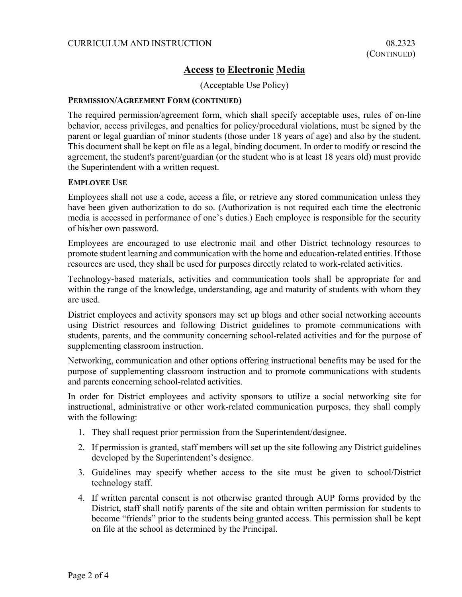## CURRICULUM AND INSTRUCTION 08.2323

# **Access to Electronic Media**

(Acceptable Use Policy)

### **PERMISSION/AGREEMENT FORM (CONTINUED)**

The required permission/agreement form, which shall specify acceptable uses, rules of on-line behavior, access privileges, and penalties for policy/procedural violations, must be signed by the parent or legal guardian of minor students (those under 18 years of age) and also by the student. This document shall be kept on file as a legal, binding document. In order to modify or rescind the agreement, the student's parent/guardian (or the student who is at least 18 years old) must provide the Superintendent with a written request.

### **EMPLOYEE USE**

Employees shall not use a code, access a file, or retrieve any stored communication unless they have been given authorization to do so. (Authorization is not required each time the electronic media is accessed in performance of one's duties.) Each employee is responsible for the security of his/her own password.

Employees are encouraged to use electronic mail and other District technology resources to promote student learning and communication with the home and education-related entities. If those resources are used, they shall be used for purposes directly related to work-related activities.

Technology-based materials, activities and communication tools shall be appropriate for and within the range of the knowledge, understanding, age and maturity of students with whom they are used.

District employees and activity sponsors may set up blogs and other social networking accounts using District resources and following District guidelines to promote communications with students, parents, and the community concerning school-related activities and for the purpose of supplementing classroom instruction.

Networking, communication and other options offering instructional benefits may be used for the purpose of supplementing classroom instruction and to promote communications with students and parents concerning school-related activities.

In order for District employees and activity sponsors to utilize a social networking site for instructional, administrative or other work-related communication purposes, they shall comply with the following:

- 1. They shall request prior permission from the Superintendent/designee.
- 2. If permission is granted, staff members will set up the site following any District guidelines developed by the Superintendent's designee.
- 3. Guidelines may specify whether access to the site must be given to school/District technology staff.
- 4. If written parental consent is not otherwise granted through AUP forms provided by the District, staff shall notify parents of the site and obtain written permission for students to become "friends" prior to the students being granted access. This permission shall be kept on file at the school as determined by the Principal.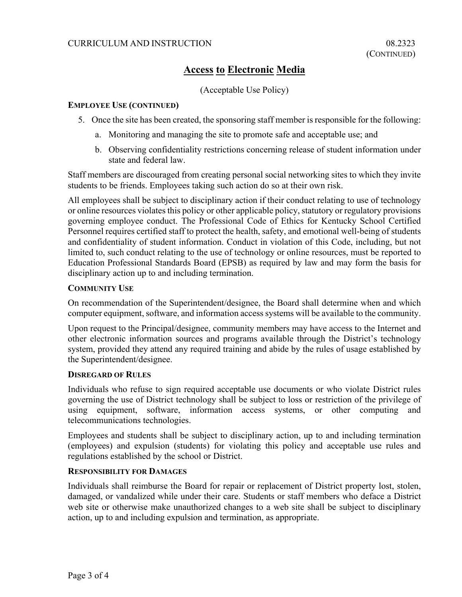# **Access to Electronic Media**

(Acceptable Use Policy)

#### **EMPLOYEE USE (CONTINUED)**

- 5. Once the site has been created, the sponsoring staff member is responsible for the following:
	- a. Monitoring and managing the site to promote safe and acceptable use; and
	- b. Observing confidentiality restrictions concerning release of student information under state and federal law.

Staff members are discouraged from creating personal social networking sites to which they invite students to be friends. Employees taking such action do so at their own risk.

All employees shall be subject to disciplinary action if their conduct relating to use of technology or online resources violates this policy or other applicable policy, statutory or regulatory provisions governing employee conduct. The Professional Code of Ethics for Kentucky School Certified Personnel requires certified staff to protect the health, safety, and emotional well-being of students and confidentiality of student information. Conduct in violation of this Code, including, but not limited to, such conduct relating to the use of technology or online resources, must be reported to Education Professional Standards Board (EPSB) as required by law and may form the basis for disciplinary action up to and including termination.

### **COMMUNITY USE**

On recommendation of the Superintendent/designee, the Board shall determine when and which computer equipment, software, and information access systems will be available to the community.

Upon request to the Principal/designee, community members may have access to the Internet and other electronic information sources and programs available through the District's technology system, provided they attend any required training and abide by the rules of usage established by the Superintendent/designee.

## **DISREGARD OF RULES**

Individuals who refuse to sign required acceptable use documents or who violate District rules governing the use of District technology shall be subject to loss or restriction of the privilege of using equipment, software, information access systems, or other computing and telecommunications technologies.

Employees and students shall be subject to disciplinary action, up to and including termination (employees) and expulsion (students) for violating this policy and acceptable use rules and regulations established by the school or District.

### **RESPONSIBILITY FOR DAMAGES**

Individuals shall reimburse the Board for repair or replacement of District property lost, stolen, damaged, or vandalized while under their care. Students or staff members who deface a District web site or otherwise make unauthorized changes to a web site shall be subject to disciplinary action, up to and including expulsion and termination, as appropriate.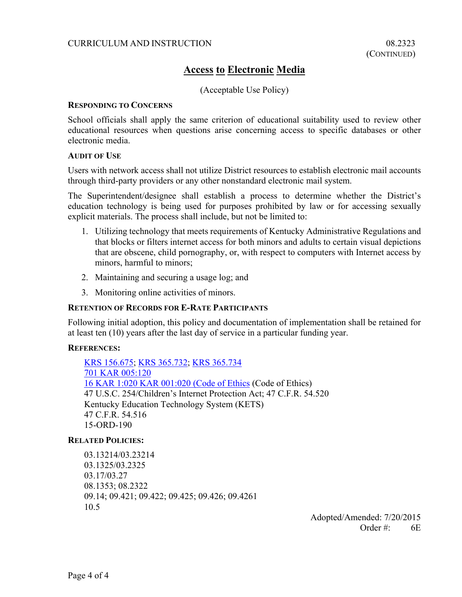### CURRICULUM AND INSTRUCTION 08.2323

# **Access to Electronic Media**

(Acceptable Use Policy)

#### **RESPONDING TO CONCERNS**

School officials shall apply the same criterion of educational suitability used to review other educational resources when questions arise concerning access to specific databases or other electronic media.

### **AUDIT OF USE**

Users with network access shall not utilize District resources to establish electronic mail accounts through third-party providers or any other nonstandard electronic mail system.

The Superintendent/designee shall establish a process to determine whether the District's education technology is being used for purposes prohibited by law or for accessing sexually explicit materials. The process shall include, but not be limited to:

- 1. Utilizing technology that meets requirements of Kentucky Administrative Regulations and that blocks or filters internet access for both minors and adults to certain visual depictions that are obscene, child pornography, or, with respect to computers with Internet access by minors, harmful to minors;
- 2. Maintaining and securing a usage log; and
- 3. Monitoring online activities of minors.

### **RETENTION OF RECORDS FOR E-RATE PARTICIPANTS**

Following initial adoption, this policy and documentation of implementation shall be retained for at least ten (10) years after the last day of service in a particular funding year.

### **REFERENCES:**

KRS 156.675; KRS 365.732; KRS 365.734 701 KAR 005:120 16 KAR 1:020 KAR 001:020 (Code of Ethics (Code of Ethics) 47 U.S.C. 254/Children's Internet Protection Act; 47 C.F.R. 54.520 Kentucky Education Technology System (KETS) 47 C.F.R. 54.516 15-ORD-190

### **RELATED POLICIES:**

03.13214/03.23214 03.1325/03.2325 03.17/03.27 08.1353; 08.2322 09.14; 09.421; 09.422; 09.425; 09.426; 09.4261 10.5

> Adopted/Amended: 7/20/2015 Order #: 6E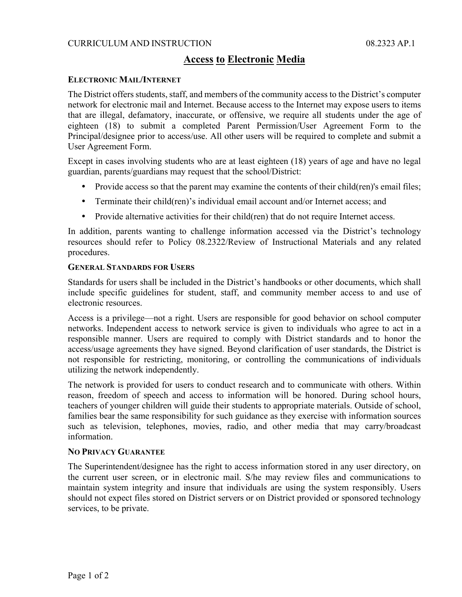# **Access to Electronic Media**

### **ELECTRONIC MAIL/INTERNET**

The District offers students, staff, and members of the community access to the District's computer network for electronic mail and Internet. Because access to the Internet may expose users to items that are illegal, defamatory, inaccurate, or offensive, we require all students under the age of eighteen (18) to submit a completed Parent Permission/User Agreement Form to the Principal/designee prior to access/use. All other users will be required to complete and submit a User Agreement Form.

Except in cases involving students who are at least eighteen (18) years of age and have no legal guardian, parents/guardians may request that the school/District:

- Provide access so that the parent may examine the contents of their child(ren)'s email files;
- Terminate their child(ren)'s individual email account and/or Internet access; and
- Provide alternative activities for their child(ren) that do not require Internet access.

In addition, parents wanting to challenge information accessed via the District's technology resources should refer to Policy 08.2322/Review of Instructional Materials and any related procedures.

### **GENERAL STANDARDS FOR USERS**

Standards for users shall be included in the District's handbooks or other documents, which shall include specific guidelines for student, staff, and community member access to and use of electronic resources.

Access is a privilege—not a right. Users are responsible for good behavior on school computer networks. Independent access to network service is given to individuals who agree to act in a responsible manner. Users are required to comply with District standards and to honor the access/usage agreements they have signed. Beyond clarification of user standards, the District is not responsible for restricting, monitoring, or controlling the communications of individuals utilizing the network independently.

The network is provided for users to conduct research and to communicate with others. Within reason, freedom of speech and access to information will be honored. During school hours, teachers of younger children will guide their students to appropriate materials. Outside of school, families bear the same responsibility for such guidance as they exercise with information sources such as television, telephones, movies, radio, and other media that may carry/broadcast information.

### **NO PRIVACY GUARANTEE**

The Superintendent/designee has the right to access information stored in any user directory, on the current user screen, or in electronic mail. S/he may review files and communications to maintain system integrity and insure that individuals are using the system responsibly. Users should not expect files stored on District servers or on District provided or sponsored technology services, to be private.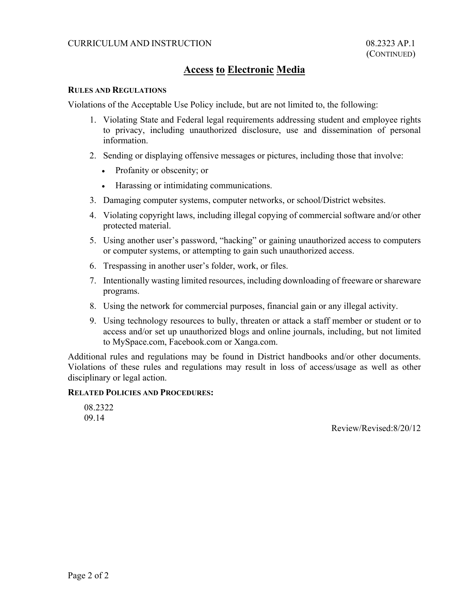### CURRICULUM AND INSTRUCTION 08.2323 AP.1

# **Access to Electronic Media**

#### **RULES AND REGULATIONS**

Violations of the Acceptable Use Policy include, but are not limited to, the following:

- 1. Violating State and Federal legal requirements addressing student and employee rights to privacy, including unauthorized disclosure, use and dissemination of personal information.
- 2. Sending or displaying offensive messages or pictures, including those that involve:
	- Profanity or obscenity; or
	- Harassing or intimidating communications.
- 3. Damaging computer systems, computer networks, or school/District websites.
- 4. Violating copyright laws, including illegal copying of commercial software and/or other protected material.
- 5. Using another user's password, "hacking" or gaining unauthorized access to computers or computer systems, or attempting to gain such unauthorized access.
- 6. Trespassing in another user's folder, work, or files.
- 7. Intentionally wasting limited resources, including downloading of freeware or shareware programs.
- 8. Using the network for commercial purposes, financial gain or any illegal activity.
- 9. Using technology resources to bully, threaten or attack a staff member or student or to access and/or set up unauthorized blogs and online journals, including, but not limited to MySpace.com, Facebook.com or Xanga.com.

Additional rules and regulations may be found in District handbooks and/or other documents. Violations of these rules and regulations may result in loss of access/usage as well as other disciplinary or legal action.

#### **RELATED POLICIES AND PROCEDURES:**

08.2322 09.14

Review/Revised:8/20/12